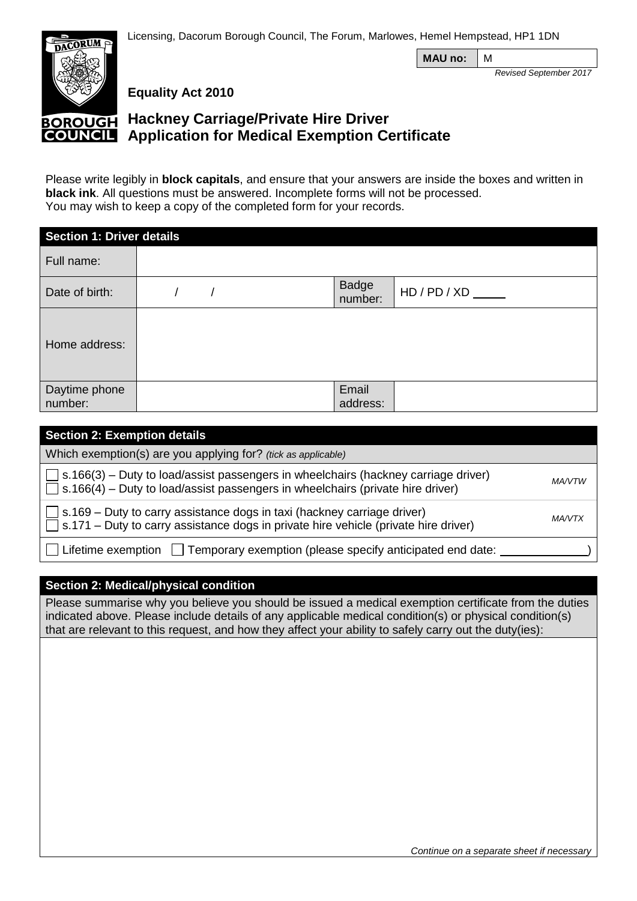**MAU no:** M

*Revised September 2017*



**Equality Act 2010**

# **Hackney Carriage/Private Hire Driver Application for Medical Exemption Certificate**

Please write legibly in **block capitals**, and ensure that your answers are inside the boxes and written in **black ink**. All questions must be answered. Incomplete forms will not be processed. You may wish to keep a copy of the completed form for your records.

| <b>Section 1: Driver details</b> |  |                         |              |
|----------------------------------|--|-------------------------|--------------|
| Full name:                       |  |                         |              |
| Date of birth:                   |  | <b>Badge</b><br>number: | HD / PD / XD |
| Home address:                    |  |                         |              |
| Daytime phone<br>number:         |  | Email<br>address:       |              |

| <b>Section 2: Exemption details</b>                                                                                                                                                |               |
|------------------------------------------------------------------------------------------------------------------------------------------------------------------------------------|---------------|
| Which exemption(s) are you applying for? (tick as applicable)                                                                                                                      |               |
| $\Box$ s.166(3) – Duty to load/assist passengers in wheelchairs (hackney carriage driver)<br>$\Box$ s.166(4) – Duty to load/assist passengers in wheelchairs (private hire driver) | <b>MA/VTW</b> |
| $\Box$ s.169 – Duty to carry assistance dogs in taxi (hackney carriage driver)<br>$\Box$ s.171 – Duty to carry assistance dogs in private hire vehicle (private hire driver)       | <b>MA/VTX</b> |
| $\Box$ Lifetime exemption $\Box$ Temporary exemption (please specify anticipated end date:                                                                                         |               |

## **Section 2: Medical/physical condition**

Please summarise why you believe you should be issued a medical exemption certificate from the duties indicated above. Please include details of any applicable medical condition(s) or physical condition(s) that are relevant to this request, and how they affect your ability to safely carry out the duty(ies):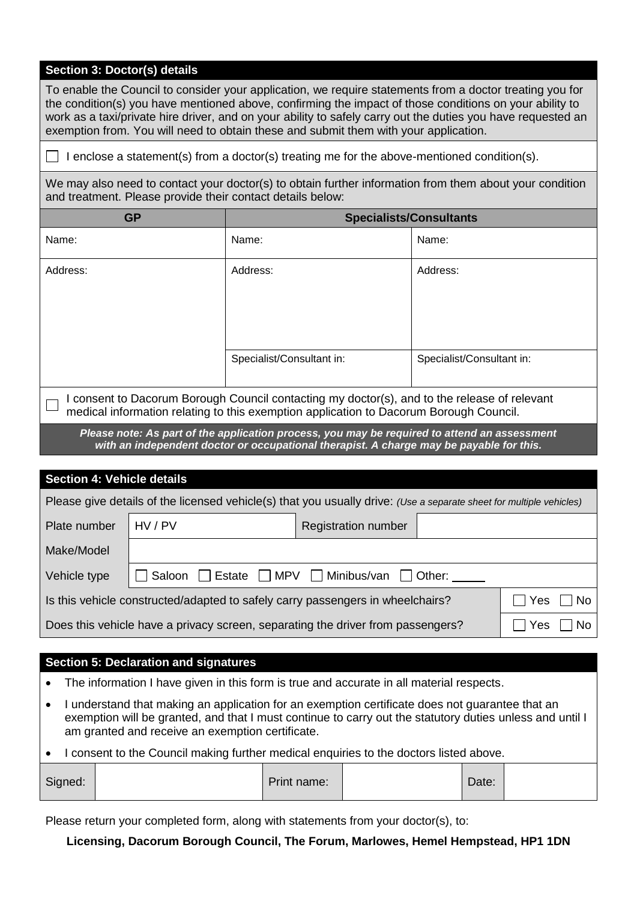# **Section 3: Doctor(s) details** To enable the Council to consider your application, we require statements from a doctor treating you for the condition(s) you have mentioned above, confirming the impact of those conditions on your ability to work as a taxi/private hire driver, and on your ability to safely carry out the duties you have requested an exemption from. You will need to obtain these and submit them with your application. I enclose a statement(s) from a doctor(s) treating me for the above-mentioned condition(s). We may also need to contact your doctor(s) to obtain further information from them about your condition and treatment. Please provide their contact details below: **GP Specialists/Consultants** Name: Name: Name: Address: Address: Address: Specialist/Consultant in: Specialist/Consultant in: I consent to Dacorum Borough Council contacting my doctor(s), and to the release of relevant  $\Box$ medical information relating to this exemption application to Dacorum Borough Council. *Please note: As part of the application process, you may be required to attend an assessment with an independent doctor or occupational therapist. A charge may be payable for this.* **Section 4: Vehicle details** Please give details of the licensed vehicle(s) that you usually drive: *(Use a separate sheet for multiple vehicles)* Plate number | HV / PV Registration number Make/Model Vehicle type  $\Box$  Saloon  $\Box$  Estate  $\Box$  MPV  $\Box$  Minibus/van  $\Box$  Other: Is this vehicle constructed/adapted to safely carry passengers in wheelchairs?  $\Box$  Yes  $\Box$  No Does this vehicle have a privacy screen, separating the driver from passengers?  $\Box \Box Y$ es  $\Box$  No

#### **Section 5: Declaration and signatures**

- The information I have given in this form is true and accurate in all material respects.
- I understand that making an application for an exemption certificate does not guarantee that an exemption will be granted, and that I must continue to carry out the statutory duties unless and until I am granted and receive an exemption certificate.
- I consent to the Council making further medical enquiries to the doctors listed above.

|--|

Please return your completed form, along with statements from your doctor(s), to:

**Licensing, Dacorum Borough Council, The Forum, Marlowes, Hemel Hempstead, HP1 1DN**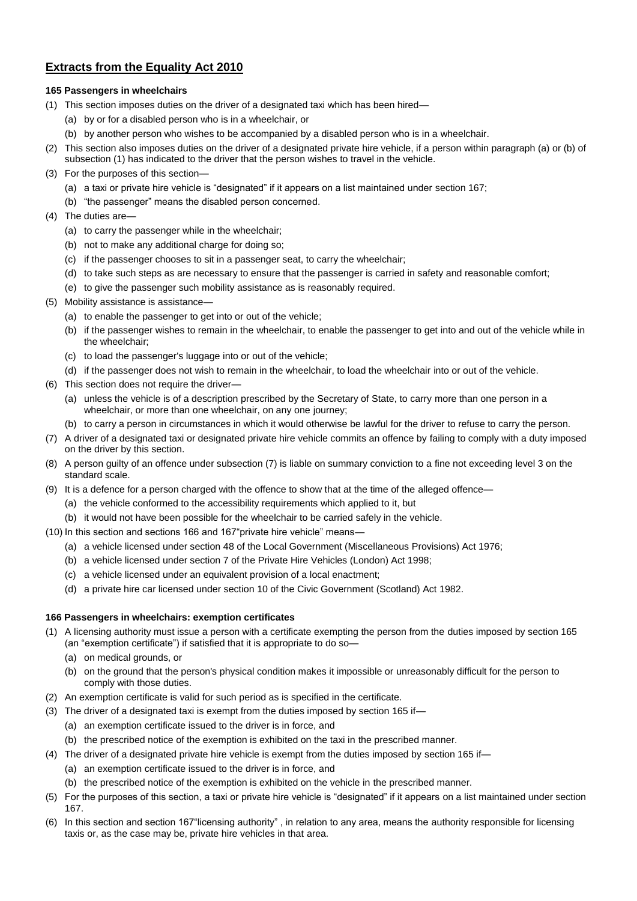### **Extracts from the Equality Act 2010**

#### **165 Passengers in wheelchairs**

- (1) This section imposes duties on the driver of a designated taxi which has been hired—
	- (a) by or for a disabled person who is in a wheelchair, or
	- (b) by another person who wishes to be accompanied by a disabled person who is in a wheelchair.
- (2) This section also imposes duties on the driver of a designated private hire vehicle, if a person within paragraph (a) or (b) of subsection (1) has indicated to the driver that the person wishes to travel in the vehicle.
- (3) For the purposes of this section—
	- (a) a taxi or private hire vehicle is "designated" if it appears on a list maintained under section 167;
	- (b) "the passenger" means the disabled person concerned.
- (4) The duties are—
	- (a) to carry the passenger while in the wheelchair;
	- (b) not to make any additional charge for doing so;
	- (c) if the passenger chooses to sit in a passenger seat, to carry the wheelchair;
	- (d) to take such steps as are necessary to ensure that the passenger is carried in safety and reasonable comfort;
	- (e) to give the passenger such mobility assistance as is reasonably required.
- (5) Mobility assistance is assistance—
	- (a) to enable the passenger to get into or out of the vehicle;
	- (b) if the passenger wishes to remain in the wheelchair, to enable the passenger to get into and out of the vehicle while in the wheelchair;
	- (c) to load the passenger's luggage into or out of the vehicle;
	- (d) if the passenger does not wish to remain in the wheelchair, to load the wheelchair into or out of the vehicle.
- (6) This section does not require the driver—
	- (a) unless the vehicle is of a description prescribed by the Secretary of State, to carry more than one person in a wheelchair, or more than one wheelchair, on any one journey;
	- (b) to carry a person in circumstances in which it would otherwise be lawful for the driver to refuse to carry the person.
- (7) A driver of a designated taxi or designated private hire vehicle commits an offence by failing to comply with a duty imposed on the driver by this section.
- (8) A person guilty of an offence under subsection (7) is liable on summary conviction to a fine not exceeding level 3 on the standard scale.
- (9) It is a defence for a person charged with the offence to show that at the time of the alleged offence—
	- (a) the vehicle conformed to the accessibility requirements which applied to it, but
	- (b) it would not have been possible for the wheelchair to be carried safely in the vehicle.
- (10) In this section and sections 166 and 167"private hire vehicle" means—
	- (a) a vehicle licensed under section 48 of the Local Government (Miscellaneous Provisions) Act 1976;
	- (b) a vehicle licensed under section 7 of the Private Hire Vehicles (London) Act 1998;
	- (c) a vehicle licensed under an equivalent provision of a local enactment;
	- (d) a private hire car licensed under section 10 of the Civic Government (Scotland) Act 1982.

#### **166 Passengers in wheelchairs: exemption certificates**

- (1) A licensing authority must issue a person with a certificate exempting the person from the duties imposed by section 165 (an "exemption certificate") if satisfied that it is appropriate to do so—
	- (a) on medical grounds, or
	- (b) on the ground that the person's physical condition makes it impossible or unreasonably difficult for the person to comply with those duties.
- (2) An exemption certificate is valid for such period as is specified in the certificate.
- (3) The driver of a designated taxi is exempt from the duties imposed by section 165 if—
	- (a) an exemption certificate issued to the driver is in force, and
	- (b) the prescribed notice of the exemption is exhibited on the taxi in the prescribed manner.
- (4) The driver of a designated private hire vehicle is exempt from the duties imposed by section 165 if—
	- (a) an exemption certificate issued to the driver is in force, and
	- (b) the prescribed notice of the exemption is exhibited on the vehicle in the prescribed manner.
- (5) For the purposes of this section, a taxi or private hire vehicle is "designated" if it appears on a list maintained under section 167.
- (6) In this section and section 167"licensing authority" , in relation to any area, means the authority responsible for licensing taxis or, as the case may be, private hire vehicles in that area.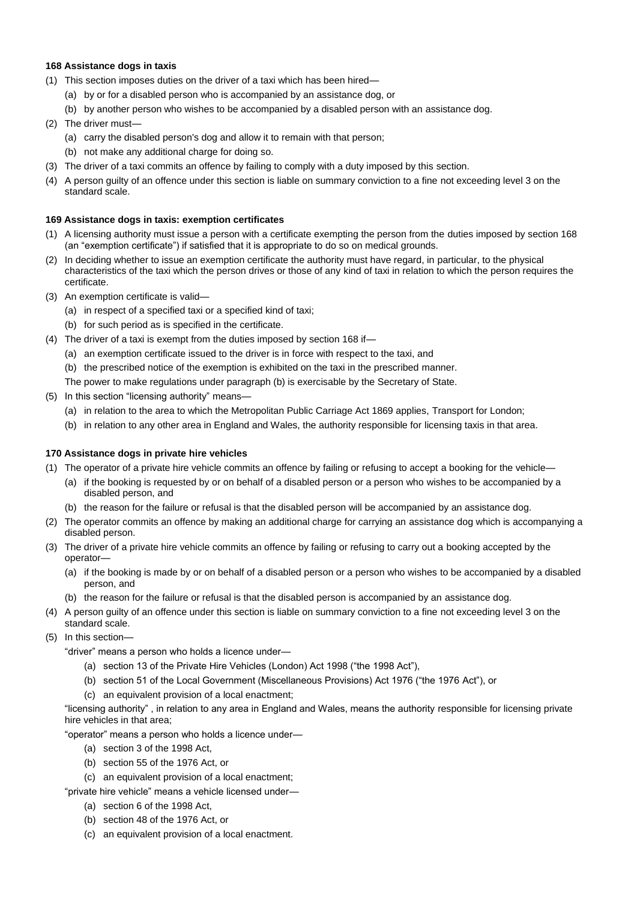#### **168 Assistance dogs in taxis**

- (1) This section imposes duties on the driver of a taxi which has been hired—
	- (a) by or for a disabled person who is accompanied by an assistance dog, or
	- (b) by another person who wishes to be accompanied by a disabled person with an assistance dog.

#### (2) The driver must—

- (a) carry the disabled person's dog and allow it to remain with that person;
- (b) not make any additional charge for doing so.
- (3) The driver of a taxi commits an offence by failing to comply with a duty imposed by this section.
- (4) A person guilty of an offence under this section is liable on summary conviction to a fine not exceeding level 3 on the standard scale.

#### **169 Assistance dogs in taxis: exemption certificates**

- (1) A licensing authority must issue a person with a certificate exempting the person from the duties imposed by section 168 (an "exemption certificate") if satisfied that it is appropriate to do so on medical grounds.
- (2) In deciding whether to issue an exemption certificate the authority must have regard, in particular, to the physical characteristics of the taxi which the person drives or those of any kind of taxi in relation to which the person requires the certificate.
- (3) An exemption certificate is valid—
	- (a) in respect of a specified taxi or a specified kind of taxi;
	- (b) for such period as is specified in the certificate.
- (4) The driver of a taxi is exempt from the duties imposed by section 168 if—
	- (a) an exemption certificate issued to the driver is in force with respect to the taxi, and
	- (b) the prescribed notice of the exemption is exhibited on the taxi in the prescribed manner.
	- The power to make regulations under paragraph (b) is exercisable by the Secretary of State.
- (5) In this section "licensing authority" means—
	- (a) in relation to the area to which the Metropolitan Public Carriage Act 1869 applies, Transport for London;
	- (b) in relation to any other area in England and Wales, the authority responsible for licensing taxis in that area.

#### **170 Assistance dogs in private hire vehicles**

- (1) The operator of a private hire vehicle commits an offence by failing or refusing to accept a booking for the vehicle—
	- (a) if the booking is requested by or on behalf of a disabled person or a person who wishes to be accompanied by a disabled person, and
	- (b) the reason for the failure or refusal is that the disabled person will be accompanied by an assistance dog.
- (2) The operator commits an offence by making an additional charge for carrying an assistance dog which is accompanying a disabled person.
- (3) The driver of a private hire vehicle commits an offence by failing or refusing to carry out a booking accepted by the operator—
	- (a) if the booking is made by or on behalf of a disabled person or a person who wishes to be accompanied by a disabled person, and
	- (b) the reason for the failure or refusal is that the disabled person is accompanied by an assistance dog.
- (4) A person guilty of an offence under this section is liable on summary conviction to a fine not exceeding level 3 on the standard scale.
- (5) In this section—
	- "driver" means a person who holds a licence under—
		- (a) section 13 of the Private Hire Vehicles (London) Act 1998 ("the 1998 Act"),
		- (b) section 51 of the Local Government (Miscellaneous Provisions) Act 1976 ("the 1976 Act"), or
		- (c) an equivalent provision of a local enactment;

"licensing authority" , in relation to any area in England and Wales, means the authority responsible for licensing private hire vehicles in that area;

"operator" means a person who holds a licence under—

- (a) section 3 of the 1998 Act,
- (b) section 55 of the 1976 Act, or
- (c) an equivalent provision of a local enactment;

"private hire vehicle" means a vehicle licensed under—

- (a) section 6 of the 1998 Act,
- (b) section 48 of the 1976 Act, or
- (c) an equivalent provision of a local enactment.